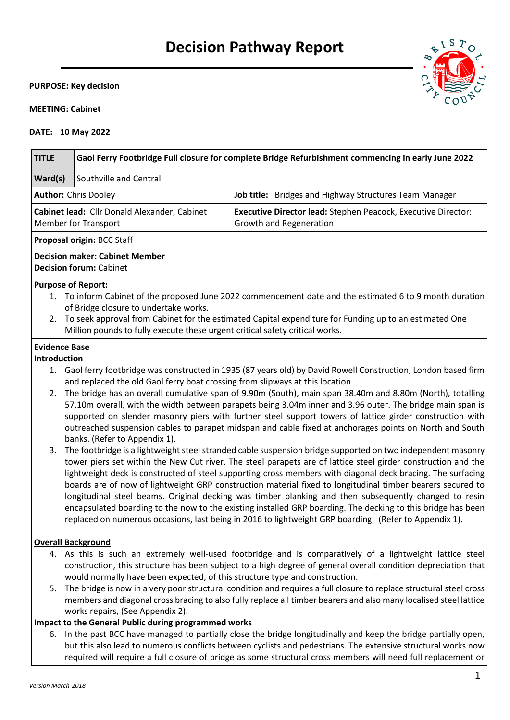# **Decision Pathway Report**

#### **PURPOSE: Key decision**

## **MEETING: Cabinet**

## **DATE: 10 May 2022**

| <b>TITLE</b>                                                                                           | Gaol Ferry Footbridge Full closure for complete Bridge Refurbishment commencing in early June 2022                                                                                                                                                                                                                                                                                                                                                                                                                                                                                                                                                                                                                                                                                           |                                                                                                                                                                                                                                                                                                                                                                                                                                               |  |
|--------------------------------------------------------------------------------------------------------|----------------------------------------------------------------------------------------------------------------------------------------------------------------------------------------------------------------------------------------------------------------------------------------------------------------------------------------------------------------------------------------------------------------------------------------------------------------------------------------------------------------------------------------------------------------------------------------------------------------------------------------------------------------------------------------------------------------------------------------------------------------------------------------------|-----------------------------------------------------------------------------------------------------------------------------------------------------------------------------------------------------------------------------------------------------------------------------------------------------------------------------------------------------------------------------------------------------------------------------------------------|--|
| Ward(s)                                                                                                | Southville and Central                                                                                                                                                                                                                                                                                                                                                                                                                                                                                                                                                                                                                                                                                                                                                                       |                                                                                                                                                                                                                                                                                                                                                                                                                                               |  |
|                                                                                                        | <b>Author: Chris Dooley</b>                                                                                                                                                                                                                                                                                                                                                                                                                                                                                                                                                                                                                                                                                                                                                                  | Job title: Bridges and Highway Structures Team Manager                                                                                                                                                                                                                                                                                                                                                                                        |  |
| Cabinet lead: Cllr Donald Alexander, Cabinet<br><b>Member for Transport</b><br>Growth and Regeneration |                                                                                                                                                                                                                                                                                                                                                                                                                                                                                                                                                                                                                                                                                                                                                                                              | Executive Director lead: Stephen Peacock, Executive Director:                                                                                                                                                                                                                                                                                                                                                                                 |  |
|                                                                                                        | Proposal origin: BCC Staff                                                                                                                                                                                                                                                                                                                                                                                                                                                                                                                                                                                                                                                                                                                                                                   |                                                                                                                                                                                                                                                                                                                                                                                                                                               |  |
|                                                                                                        | <b>Decision maker: Cabinet Member</b><br><b>Decision forum: Cabinet</b>                                                                                                                                                                                                                                                                                                                                                                                                                                                                                                                                                                                                                                                                                                                      |                                                                                                                                                                                                                                                                                                                                                                                                                                               |  |
|                                                                                                        | <b>Purpose of Report:</b>                                                                                                                                                                                                                                                                                                                                                                                                                                                                                                                                                                                                                                                                                                                                                                    |                                                                                                                                                                                                                                                                                                                                                                                                                                               |  |
|                                                                                                        |                                                                                                                                                                                                                                                                                                                                                                                                                                                                                                                                                                                                                                                                                                                                                                                              | 1. To inform Cabinet of the proposed June 2022 commencement date and the estimated 6 to 9 month duration                                                                                                                                                                                                                                                                                                                                      |  |
|                                                                                                        | of Bridge closure to undertake works.<br>Million pounds to fully execute these urgent critical safety critical works.                                                                                                                                                                                                                                                                                                                                                                                                                                                                                                                                                                                                                                                                        | 2. To seek approval from Cabinet for the estimated Capital expenditure for Funding up to an estimated One                                                                                                                                                                                                                                                                                                                                     |  |
| <b>Evidence Base</b><br>Introduction                                                                   |                                                                                                                                                                                                                                                                                                                                                                                                                                                                                                                                                                                                                                                                                                                                                                                              |                                                                                                                                                                                                                                                                                                                                                                                                                                               |  |
|                                                                                                        | and replaced the old Gaol ferry boat crossing from slipways at this location.                                                                                                                                                                                                                                                                                                                                                                                                                                                                                                                                                                                                                                                                                                                | 1. Gaol ferry footbridge was constructed in 1935 (87 years old) by David Rowell Construction, London based firm                                                                                                                                                                                                                                                                                                                               |  |
| 2.                                                                                                     | banks. (Refer to Appendix 1).                                                                                                                                                                                                                                                                                                                                                                                                                                                                                                                                                                                                                                                                                                                                                                | The bridge has an overall cumulative span of 9.90m (South), main span 38.40m and 8.80m (North), totalling<br>57.10m overall, with the width between parapets being 3.04m inner and 3.96 outer. The bridge main span is<br>supported on slender masonry piers with further steel support towers of lattice girder construction with<br>outreached suspension cables to parapet midspan and cable fixed at anchorages points on North and South |  |
| 3.                                                                                                     | The footbridge is a lightweight steel stranded cable suspension bridge supported on two independent masonry<br>tower piers set within the New Cut river. The steel parapets are of lattice steel girder construction and the<br>lightweight deck is constructed of steel supporting cross members with diagonal deck bracing. The surfacing<br>boards are of now of lightweight GRP construction material fixed to longitudinal timber bearers secured to<br>longitudinal steel beams. Original decking was timber planking and then subsequently changed to resin<br>encapsulated boarding to the now to the existing installed GRP boarding. The decking to this bridge has been<br>replaced on numerous occasions, last being in 2016 to lightweight GRP boarding. (Refer to Appendix 1). |                                                                                                                                                                                                                                                                                                                                                                                                                                               |  |
|                                                                                                        | <b>Overall Background</b>                                                                                                                                                                                                                                                                                                                                                                                                                                                                                                                                                                                                                                                                                                                                                                    |                                                                                                                                                                                                                                                                                                                                                                                                                                               |  |
|                                                                                                        | would normally have been expected, of this structure type and construction.                                                                                                                                                                                                                                                                                                                                                                                                                                                                                                                                                                                                                                                                                                                  | 4. As this is such an extremely well-used footbridge and is comparatively of a lightweight lattice steel<br>construction, this structure has been subject to a high degree of general overall condition depreciation that                                                                                                                                                                                                                     |  |
|                                                                                                        |                                                                                                                                                                                                                                                                                                                                                                                                                                                                                                                                                                                                                                                                                                                                                                                              | 5. The bridge is now in a very poor structural condition and requires a full closure to replace structural steel cross<br>members and diagonal cross bracing to also fully replace all timber bearers and also many localised steel lattice                                                                                                                                                                                                   |  |

## works repairs, (See Appendix 2). **Impact to the General Public during programmed works**

6. In the past BCC have managed to partially close the bridge longitudinally and keep the bridge partially open, but this also lead to numerous conflicts between cyclists and pedestrians. The extensive structural works now required will require a full closure of bridge as some structural cross members will need full replacement or



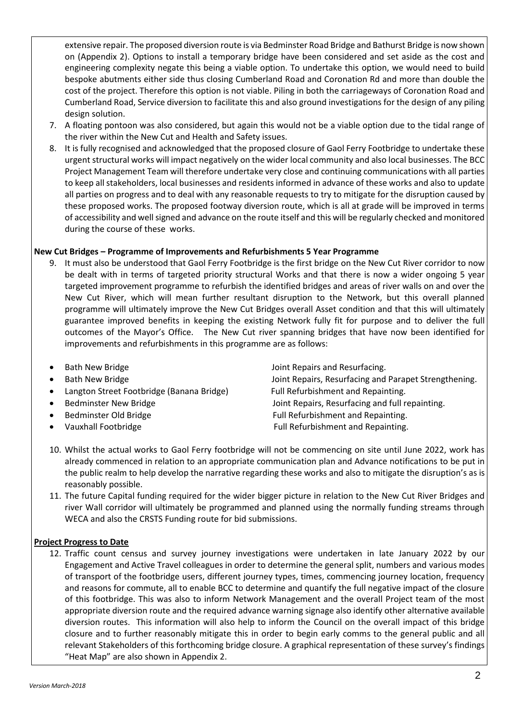extensive repair. The proposed diversion route is via Bedminster Road Bridge and Bathurst Bridge is now shown on (Appendix 2). Options to install a temporary bridge have been considered and set aside as the cost and engineering complexity negate this being a viable option. To undertake this option, we would need to build bespoke abutments either side thus closing Cumberland Road and Coronation Rd and more than double the cost of the project. Therefore this option is not viable. Piling in both the carriageways of Coronation Road and Cumberland Road, Service diversion to facilitate this and also ground investigations for the design of any piling design solution.

- 7. A floating pontoon was also considered, but again this would not be a viable option due to the tidal range of the river within the New Cut and Health and Safety issues.
- 8. It is fully recognised and acknowledged that the proposed closure of Gaol Ferry Footbridge to undertake these urgent structural works will impact negatively on the wider local community and also local businesses. The BCC Project Management Team will therefore undertake very close and continuing communications with all parties to keep all stakeholders, local businesses and residents informed in advance of these works and also to update all parties on progress and to deal with any reasonable requests to try to mitigate for the disruption caused by these proposed works. The proposed footway diversion route, which is all at grade will be improved in terms of accessibility and well signed and advance on the route itself and this will be regularly checked and monitored during the course of these works.

## **New Cut Bridges – Programme of Improvements and Refurbishments 5 Year Programme**

- 9. It must also be understood that Gaol Ferry Footbridge is the first bridge on the New Cut River corridor to now be dealt with in terms of targeted priority structural Works and that there is now a wider ongoing 5 year targeted improvement programme to refurbish the identified bridges and areas of river walls on and over the New Cut River, which will mean further resultant disruption to the Network, but this overall planned programme will ultimately improve the New Cut Bridges overall Asset condition and that this will ultimately guarantee improved benefits in keeping the existing Network fully fit for purpose and to deliver the full outcomes of the Mayor's Office. The New Cut river spanning bridges that have now been identified for improvements and refurbishments in this programme are as follows:
- - Bath New Bridge **State Accord Following State Accord Following** Joint Repairs and Resurfacing.
- 
- 
- 
- 
- 

Bath New Bridge **Joint Repairs, Resurfacing and Parapet Strengthening.** • Langton Street Footbridge (Banana Bridge) Full Refurbishment and Repainting. Bedminster New Bridge The Matter of Louis Count Repairs, Resurfacing and full repainting. Bedminster Old Bridge Full Refurbishment and Repainting. • Vauxhall Footbridge Full Refurbishment and Repainting.

- 10. Whilst the actual works to Gaol Ferry footbridge will not be commencing on site until June 2022, work has already commenced in relation to an appropriate communication plan and Advance notifications to be put in the public realm to help develop the narrative regarding these works and also to mitigate the disruption's as is reasonably possible.
- 11. The future Capital funding required for the wider bigger picture in relation to the New Cut River Bridges and river Wall corridor will ultimately be programmed and planned using the normally funding streams through WECA and also the CRSTS Funding route for bid submissions.

## **Project Progress to Date**

12. Traffic count census and survey journey investigations were undertaken in late January 2022 by our Engagement and Active Travel colleagues in order to determine the general split, numbers and various modes of transport of the footbridge users, different journey types, times, commencing journey location, frequency and reasons for commute, all to enable BCC to determine and quantify the full negative impact of the closure of this footbridge. This was also to inform Network Management and the overall Project team of the most appropriate diversion route and the required advance warning signage also identify other alternative available diversion routes. This information will also help to inform the Council on the overall impact of this bridge closure and to further reasonably mitigate this in order to begin early comms to the general public and all relevant Stakeholders of this forthcoming bridge closure. A graphical representation of these survey's findings "Heat Map" are also shown in Appendix 2.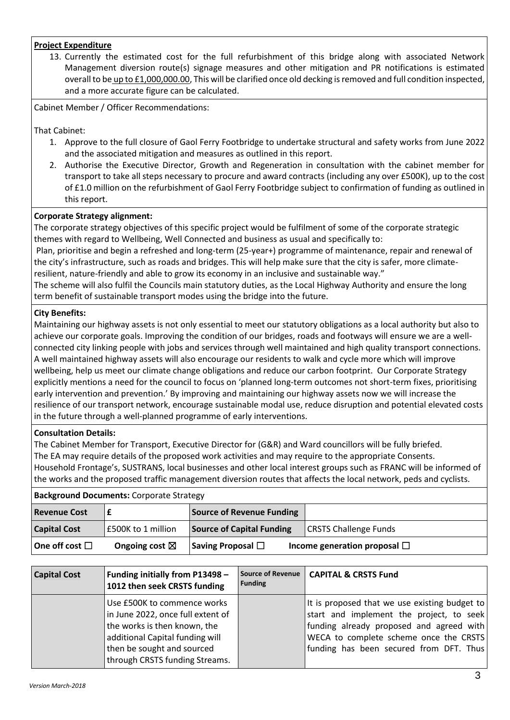# **Project Expenditure**

13. Currently the estimated cost for the full refurbishment of this bridge along with associated Network Management diversion route(s) signage measures and other mitigation and PR notifications is estimated overall to be up to £1,000,000.00, This will be clarified once old decking is removed and full condition inspected, and a more accurate figure can be calculated.

Cabinet Member / Officer Recommendations:

That Cabinet:

- 1. Approve to the full closure of Gaol Ferry Footbridge to undertake structural and safety works from June 2022 and the associated mitigation and measures as outlined in this report.
- 2. Authorise the Executive Director, Growth and Regeneration in consultation with the cabinet member for transport to take all steps necessary to procure and award contracts (including any over £500K), up to the cost of £1.0 million on the refurbishment of Gaol Ferry Footbridge subject to confirmation of funding as outlined in this report.

## **Corporate Strategy alignment:**

The corporate strategy objectives of this specific project would be fulfilment of some of the corporate strategic themes with regard to Wellbeing, Well Connected and business as usual and specifically to:

Plan, prioritise and begin a refreshed and long-term (25-year+) programme of maintenance, repair and renewal of the city's infrastructure, such as roads and bridges. This will help make sure that the city is safer, more climateresilient, nature-friendly and able to grow its economy in an inclusive and sustainable way."

The scheme will also fulfil the Councils main statutory duties, as the Local Highway Authority and ensure the long term benefit of sustainable transport modes using the bridge into the future.

## **City Benefits:**

Maintaining our highway assets is not only essential to meet our statutory obligations as a local authority but also to achieve our corporate goals. Improving the condition of our bridges, roads and footways will ensure we are a wellconnected city linking people with jobs and services through well maintained and high quality transport connections. A well maintained highway assets will also encourage our residents to walk and cycle more which will improve wellbeing, help us meet our climate change obligations and reduce our carbon footprint. Our Corporate Strategy explicitly mentions a need for the council to focus on 'planned long-term outcomes not short-term fixes, prioritising early intervention and prevention.' By improving and maintaining our highway assets now we will increase the resilience of our transport network, encourage sustainable modal use, reduce disruption and potential elevated costs in the future through a well-planned programme of early interventions.

## **Consultation Details:**

The Cabinet Member for Transport, Executive Director for (G&R) and Ward councillors will be fully briefed. The EA may require details of the proposed work activities and may require to the appropriate Consents. Household Frontage's, SUSTRANS, local businesses and other local interest groups such as FRANC will be informed of the works and the proposed traffic management diversion routes that affects the local network, peds and cyclists.

#### **Background Documents:** Corporate Strategy

| <b>Revenue Cost</b>    |                          | <b>Source of Revenue Funding</b> |                                   |
|------------------------|--------------------------|----------------------------------|-----------------------------------|
| <b>Capital Cost</b>    | E500K to 1 million       | Source of Capital Funding        | <b>CRSTS Challenge Funds</b>      |
| One off cost $\square$ | Ongoing cost $\boxtimes$ | Saving Proposal $\Box$           | Income generation proposal $\Box$ |

| <b>Capital Cost</b> | Funding initially from P13498 -<br>1012 then seek CRSTS funding                                                                                                                                     | Source of Revenue<br><b>Funding</b> | <b>CAPITAL &amp; CRSTS Fund</b>                                                                                                                                                                                            |
|---------------------|-----------------------------------------------------------------------------------------------------------------------------------------------------------------------------------------------------|-------------------------------------|----------------------------------------------------------------------------------------------------------------------------------------------------------------------------------------------------------------------------|
|                     | Use £500K to commence works<br>in June 2022, once full extent of<br>the works is then known, the<br>additional Capital funding will<br>then be sought and sourced<br>through CRSTS funding Streams. |                                     | It is proposed that we use existing budget to<br>start and implement the project, to seek<br>funding already proposed and agreed with<br>WECA to complete scheme once the CRSTS<br>funding has been secured from DFT. Thus |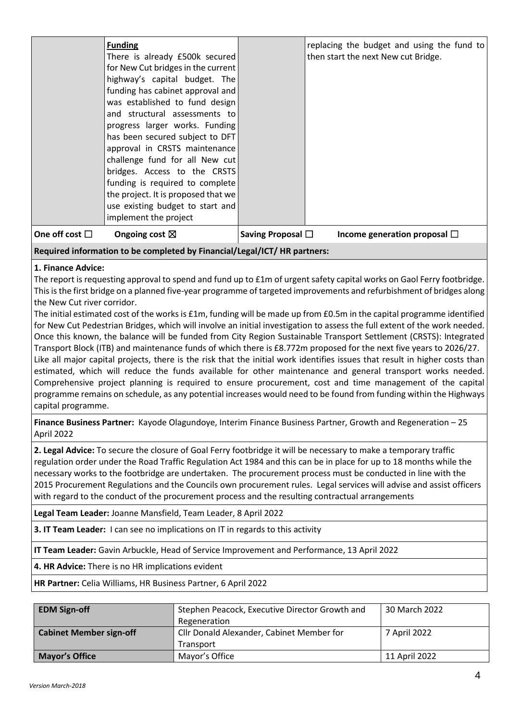|                     | funding has cabinet approval and<br>was established to fund design<br>and structural assessments to<br>progress larger works. Funding<br>has been secured subject to DFT                                                               |                        |                                   |
|---------------------|----------------------------------------------------------------------------------------------------------------------------------------------------------------------------------------------------------------------------------------|------------------------|-----------------------------------|
|                     | approval in CRSTS maintenance<br>challenge fund for all New cut<br>bridges. Access to the CRSTS<br>funding is required to complete<br>the project. It is proposed that we<br>use existing budget to start and<br>implement the project |                        |                                   |
| One off cost $\Box$ | Ongoing cost $\boxtimes$                                                                                                                                                                                                               | Saving Proposal $\Box$ | Income generation proposal $\Box$ |

# **Required information to be completed by Financial/Legal/ICT/ HR partners:**

## **1. Finance Advice:**

The report is requesting approval to spend and fund up to £1m of urgent safety capital works on Gaol Ferry footbridge. This is the first bridge on a planned five-year programme of targeted improvements and refurbishment of bridges along the New Cut river corridor.

The initial estimated cost of the works is £1m, funding will be made up from £0.5m in the capital programme identified for New Cut Pedestrian Bridges, which will involve an initial investigation to assess the full extent of the work needed. Once this known, the balance will be funded from City Region Sustainable Transport Settlement (CRSTS): Integrated Transport Block (ITB) and maintenance funds of which there is £8.772m proposed for the next five years to 2026/27. Like all major capital projects, there is the risk that the initial work identifies issues that result in higher costs than estimated, which will reduce the funds available for other maintenance and general transport works needed. Comprehensive project planning is required to ensure procurement, cost and time management of the capital programme remains on schedule, as any potential increases would need to be found from funding within the Highways capital programme.

**Finance Business Partner:** Kayode Olagundoye, Interim Finance Business Partner, Growth and Regeneration – 25 April 2022

**2. Legal Advice:** To secure the closure of Goal Ferry footbridge it will be necessary to make a temporary traffic regulation order under the Road Traffic Regulation Act 1984 and this can be in place for up to 18 months while the necessary works to the footbridge are undertaken. The procurement process must be conducted in line with the 2015 Procurement Regulations and the Councils own procurement rules. Legal services will advise and assist officers with regard to the conduct of the procurement process and the resulting contractual arrangements

**Legal Team Leader:** Joanne Mansfield, Team Leader, 8 April 2022

**3. IT Team Leader:** I can see no implications on IT in regards to this activity

**IT Team Leader:** Gavin Arbuckle, Head of Service Improvement and Performance, 13 April 2022

**4. HR Advice:** There is no HR implications evident

**HR Partner:** Celia Williams, HR Business Partner, 6 April 2022

| <b>EDM Sign-off</b>            | Stephen Peacock, Executive Director Growth and<br>Regeneration | 30 March 2022 |
|--------------------------------|----------------------------------------------------------------|---------------|
| <b>Cabinet Member sign-off</b> | Cllr Donald Alexander, Cabinet Member for                      | 7 April 2022  |
|                                | Transport                                                      |               |
| <b>Mayor's Office</b>          | Mayor's Office                                                 | 11 April 2022 |